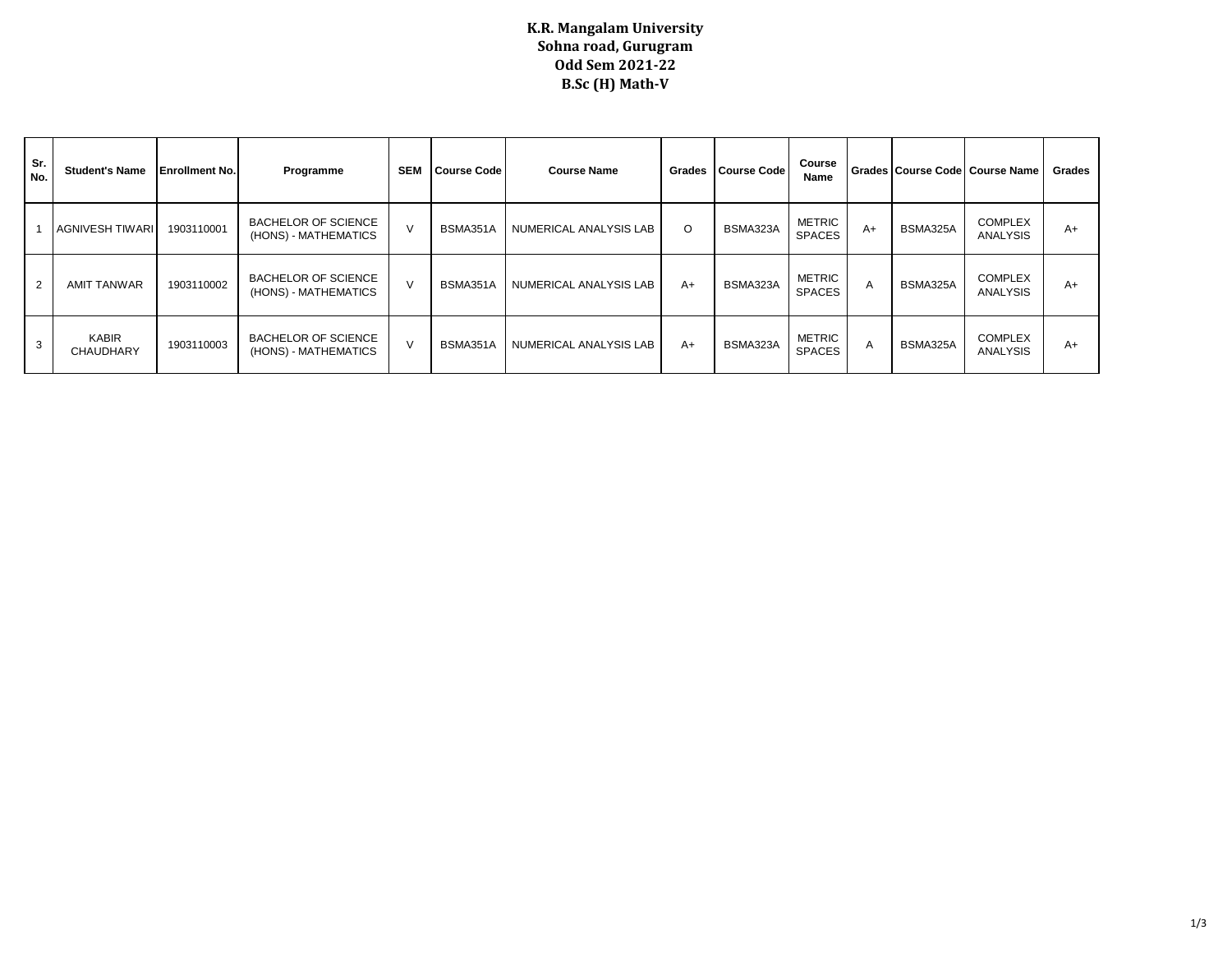## **K.R. Mangalam University Sohna road, Gurugram Odd Sem 2021-22 B.Sc (H) Math-V**

| Sr.<br>No.     | <b>Student's Name</b>     | <b>Enrollment No.</b> | Programme                                          | <b>SEM</b> | <b>Course Code</b> | <b>Course Name</b>     | Grades | <b>Course Code</b> | Course<br>Name                 |              |          | Grades Course Code   Course Name  | Grades |
|----------------|---------------------------|-----------------------|----------------------------------------------------|------------|--------------------|------------------------|--------|--------------------|--------------------------------|--------------|----------|-----------------------------------|--------|
|                | AGNIVESH TIWARI           | 1903110001            | <b>BACHELOR OF SCIENCE</b><br>(HONS) - MATHEMATICS |            | BSMA351A           | NUMERICAL ANALYSIS LAB | O      | BSMA323A           | METRIC<br><b>SPACES</b>        | $A+$         | BSMA325A | <b>COMPLEX</b><br><b>ANALYSIS</b> | A+     |
| $\overline{2}$ | <b>AMIT TANWAR</b>        | 1903110002            | <b>BACHELOR OF SCIENCE</b><br>(HONS) - MATHEMATICS |            | BSMA351A           | NUMERICAL ANALYSIS LAB | $A+$   | BSMA323A           | <b>METRIC</b><br><b>SPACES</b> | $\mathsf{A}$ | BSMA325A | <b>COMPLEX</b><br><b>ANALYSIS</b> | A+     |
| 3              | <b>KABIR</b><br>CHAUDHARY | 1903110003            | <b>BACHELOR OF SCIENCE</b><br>(HONS) - MATHEMATICS |            | BSMA351A           | NUMERICAL ANALYSIS LAB | A+     | BSMA323A           | METRIC<br><b>SPACES</b>        | $\mathsf{A}$ | BSMA325A | <b>COMPLEX</b><br><b>ANALYSIS</b> | A+     |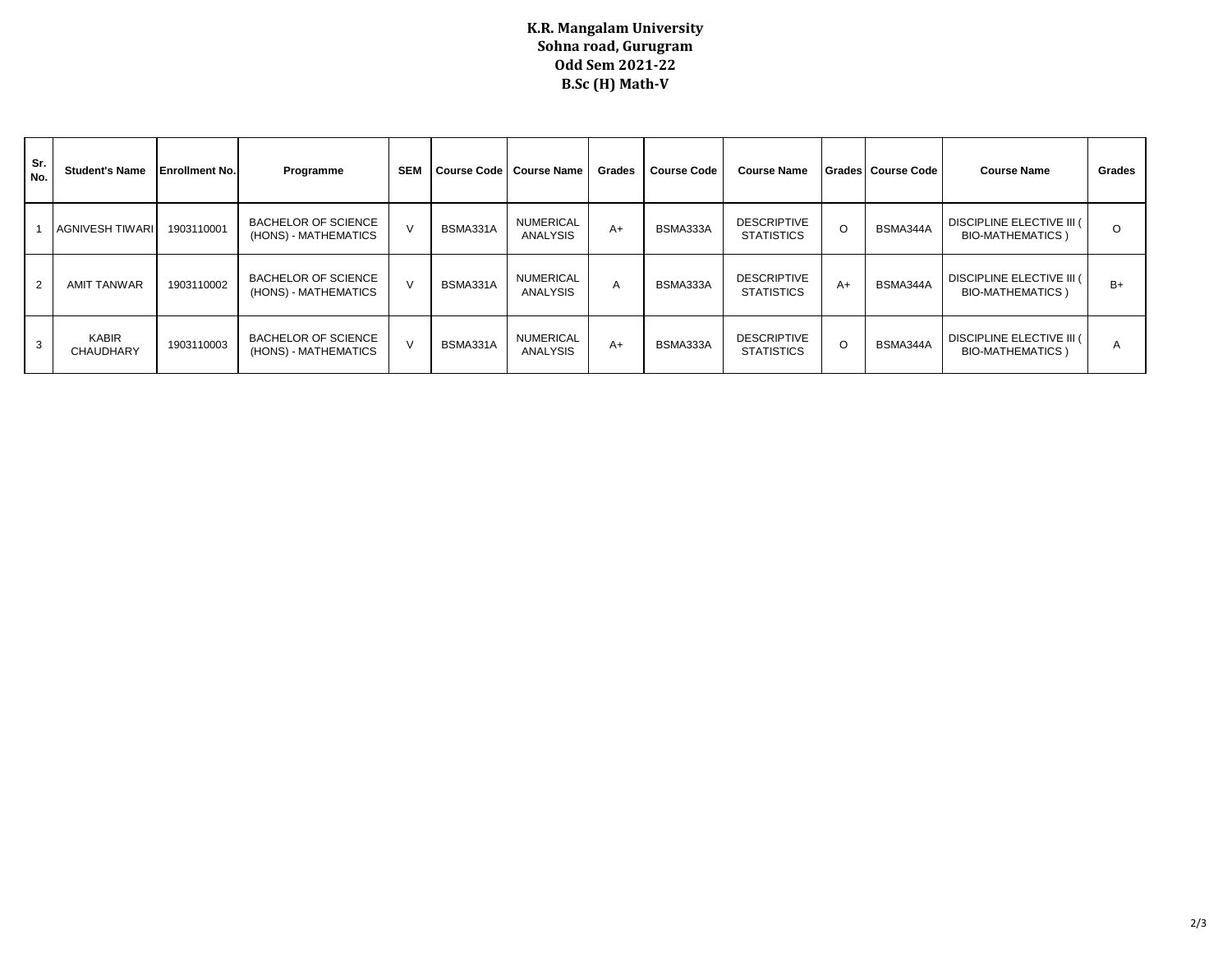## **K.R. Mangalam University Sohna road, Gurugram Odd Sem 2021-22 B.Sc (H) Math-V**

| Sr.<br>No.     | <b>Student's Name</b>            | <b>Enrollment No.</b> | Programme                                          | <b>SEM</b> | <b>Course Code</b> | <b>Course Name</b>           | Grades | <b>Course Code</b> | <b>Course Name</b>                      |         | Grades Course Code | <b>Course Name</b>                                    | Grades  |
|----------------|----------------------------------|-----------------------|----------------------------------------------------|------------|--------------------|------------------------------|--------|--------------------|-----------------------------------------|---------|--------------------|-------------------------------------------------------|---------|
|                | <b>AGNIVESH TIWARI</b>           | 1903110001            | <b>BACHELOR OF SCIENCE</b><br>(HONS) - MATHEMATICS |            | BSMA331A           | <b>NUMERICAL</b><br>ANALYSIS | $A+$   | BSMA333A           | <b>DESCRIPTIVE</b><br><b>STATISTICS</b> | $\circ$ | BSMA344A           | DISCIPLINE ELECTIVE III (<br><b>BIO-MATHEMATICS</b> ) | $\circ$ |
| $\overline{2}$ | <b>AMIT TANWAR</b>               | 1903110002            | <b>BACHELOR OF SCIENCE</b><br>(HONS) - MATHEMATICS |            | BSMA331A           | <b>NUMERICAL</b><br>ANALYSIS | A      | BSMA333A           | <b>DESCRIPTIVE</b><br><b>STATISTICS</b> | $A+$    | BSMA344A           | DISCIPLINE ELECTIVE III (<br><b>BIO-MATHEMATICS</b> ) | $B+$    |
| 3              | <b>KABIR</b><br><b>CHAUDHARY</b> | 1903110003            | <b>BACHELOR OF SCIENCE</b><br>(HONS) - MATHEMATICS |            | BSMA331A           | <b>NUMERICAL</b><br>ANALYSIS | $A+$   | BSMA333A           | <b>DESCRIPTIVE</b><br><b>STATISTICS</b> | $\circ$ | BSMA344A           | DISCIPLINE ELECTIVE III (<br><b>BIO-MATHEMATICS</b> ) | A       |